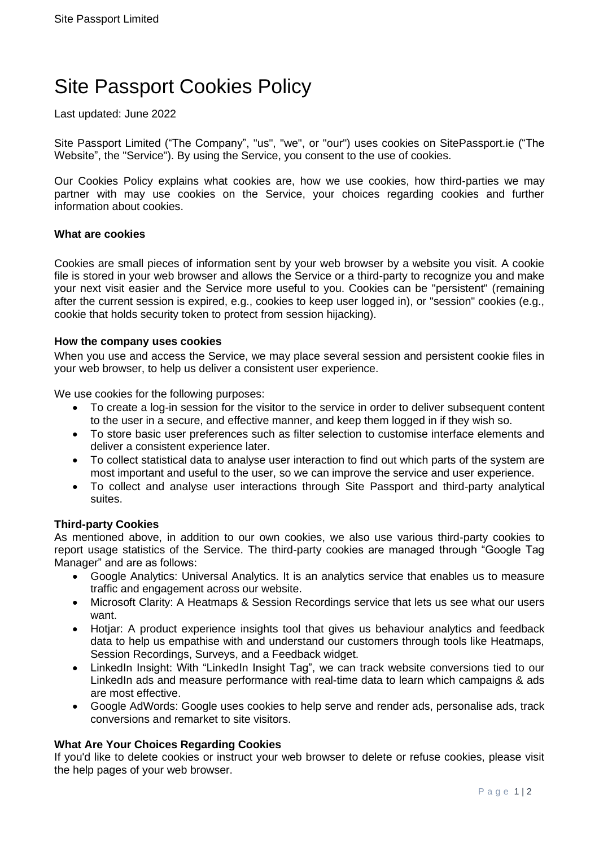# Site Passport Cookies Policy

Last updated: June 2022

Site Passport Limited ("The Company", "us", "we", or "our") uses cookies on SitePassport.ie ("The Website", the "Service"). By using the Service, you consent to the use of cookies.

Our Cookies Policy explains what cookies are, how we use cookies, how third-parties we may partner with may use cookies on the Service, your choices regarding cookies and further information about cookies.

### **What are cookies**

Cookies are small pieces of information sent by your web browser by a website you visit. A cookie file is stored in your web browser and allows the Service or a third-party to recognize you and make your next visit easier and the Service more useful to you. Cookies can be "persistent" (remaining after the current session is expired, e.g., cookies to keep user logged in), or "session" cookies (e.g., cookie that holds security token to protect from session hijacking).

### **How the company uses cookies**

When you use and access the Service, we may place several session and persistent cookie files in your web browser, to help us deliver a consistent user experience.

We use cookies for the following purposes:

- To create a log-in session for the visitor to the service in order to deliver subsequent content to the user in a secure, and effective manner, and keep them logged in if they wish so.
- To store basic user preferences such as filter selection to customise interface elements and deliver a consistent experience later.
- To collect statistical data to analyse user interaction to find out which parts of the system are most important and useful to the user, so we can improve the service and user experience.
- To collect and analyse user interactions through Site Passport and third-party analytical suites.

# **Third-party Cookies**

As mentioned above, in addition to our own cookies, we also use various third-party cookies to report usage statistics of the Service. The third-party cookies are managed through "Google Tag Manager" and are as follows:

- Google Analytics: Universal Analytics. It is an analytics service that enables us to measure traffic and engagement across our website.
- Microsoft Clarity: A Heatmaps & Session Recordings service that lets us see what our users want.
- Hotjar: A product experience insights tool that gives us behaviour analytics and feedback data to help us empathise with and understand our customers through tools like Heatmaps, Session Recordings, Surveys, and a Feedback widget.
- LinkedIn Insight: With "LinkedIn Insight Tag", we can track website conversions tied to our LinkedIn ads and measure performance with real-time data to learn which campaigns & ads are most effective.
- Google AdWords: Google uses cookies to help serve and render ads, personalise ads, track conversions and remarket to site visitors.

## **What Are Your Choices Regarding Cookies**

If you'd like to delete cookies or instruct your web browser to delete or refuse cookies, please visit the help pages of your web browser.